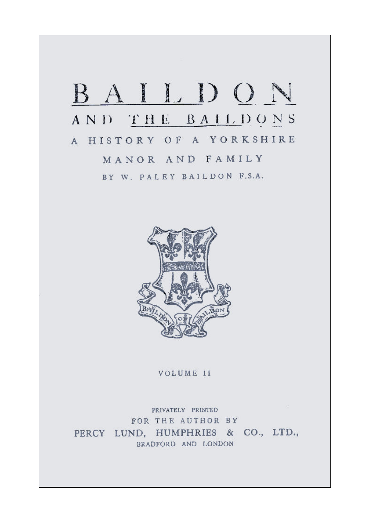## BAILDON AND THE BAILDONS A HISTORY OF A YORKSHIRE MANOR AND FAMILY BY W. PALEY BAILDON F.S.A.



VOLUME II

 $-100 -$ PRIVATELY PRINTED FOR THE AUTHOR BY PERCY LUND, HUMPHRIES & CO., LTD., BRADFORD AND LONDON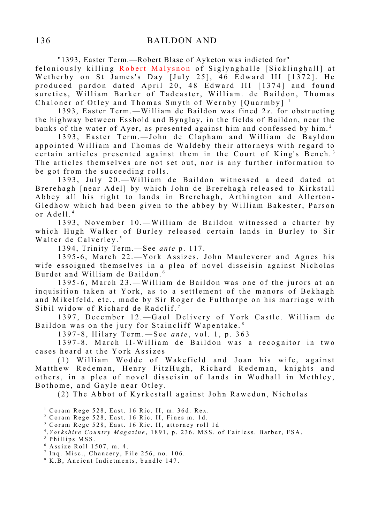"1393, Easter Term.—Robert Blase of Ayketon was indicted for"

feloniously killing Robert Malysnon of Siglynghalle [Sicklinghall] at We therby on St James's Day [July 25],  $46$  Edward III  $[1372]$ . He produced pardon dated April 20, 48 Edward III [1374] and found sureties, William Barker of Tadcaster, William. de Baildon, Thomas Chaloner of Otley and Thomas Smyth of Wernby  $[Quarmby]$ <sup>1</sup>

1393, Easter Term.—William de Baildon was fined 2s. for obstructing the highway between Esshold and Bynglay, in the fields of Baildon, near the banks of the water of Ayer, as presented against him and confessed by him.<sup>2</sup>

1393, Easter Term. - John de Clapham and William de Bayldon appointed William and Thomas de Waldeby their attorneys with regard to certain articles presented against them in the Court of King's Bench.<sup>3</sup> The articles themselves are not set out, nor is any further information to be got from the succeeding rolls.

1393, July 20. - William de Baildon witnessed a deed dated at Brerehagh [near Adel] by which John de Brerehagh released to Kirkstall Abbey all his right to lands in Brerehagh, Arthington and Allerton-Gledhow which had been given to the abbey by William Bakester, Parson or  $A$  dell.<sup>4</sup>

1393. November 10. - William de Baildon witnessed a charter by which Hugh Walker of Burley released certain lands in Burley to Sir Walter de Calverley.<sup>5</sup>

1394, Trinity Term.—S ee *ante* p. 117.

1395-6, March 22.-York Assizes. John Mauleverer and Agnes his wife essoigned themselves in a plea of novel disseisin against Nicholas Burdet and William de Baildon.<sup>6</sup>

1395-6, March 23.—William de Baildon was one of the jurors at an inquisition taken at York, as to a settlement of the manors of Bekhagh and Mikelfeld, etc., made by Sir Roger de Fulthorpe on his marriage with Sibil widow of Richard de Radclif.<sup>7</sup>

1397, December 12.-Gaol Delivery of York Castle. William de Baildon was on the jury for Staincliff Wapentake.<sup>8</sup>

1397-8, Hilary Term. - See *ante*, vol. 1, p. 363

1397-8. March II-William de Baildon was a recognitor in two cases heard at the York Assizes

(1) William Wodde of Wakefield and Joan his wife, against Matthew Redeman, Henry FitzHugh, Richard Redeman, knights and others, in a plea of novel disseisin of lands in Wodhall in Methley, Bothome, and Gayle near Otley.

(2) The Abbot of Kyrkestall against John Rawedon, Nicholas

 $1$  Coram Rege 528, East. 16 Ric. II, m. 36d. Rex.

- $2$  Coram Rege 528, East. 16 Ric. II, Fines m. 1d.
- <sup>3</sup> Coram Rege 528, East. 16 Ric. II, attorney roll 1d
- <sup>4</sup>. Yorkshire Country Magazine, 1891, p. 236. MSS. of Fairless. Barber, FSA.

<sup>&</sup>lt;sup>5</sup> Phillips MSS.

 $6$  Assize Roll 1507, m. 4.

 $7$  Inq. Misc., Chancery, File 256, no. 106.

<sup>&</sup>lt;sup>8</sup> K.B, Ancient Indictments, bundle 147.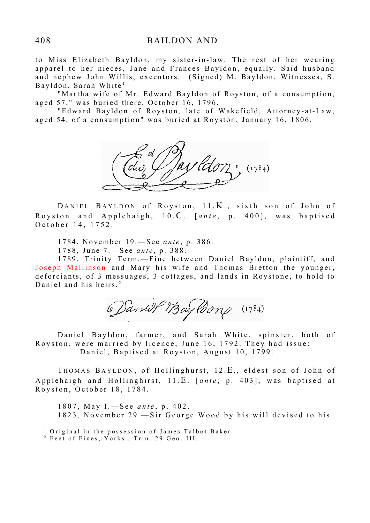to Miss Elizabeth Bayldon, my sister-in-law. The rest of her wearing apparel to her nieces, Jane and Frances Bayldon, equally. Said husband and nephew John Willis, executors. (Signed) M. Bayldon. Witnesses, S. Bayldon, Sarah White<sup>1</sup>

"Martha wife of Mr. Edward Bayldon of Royston, of a consumption, aged 57," was buried there, October 16, 1796.

"Edward Bayldon of Royston, late of Wakefield, Attorney-at-Law, aged 54, of a consumption" was buried at Royston, January 16, 1806.



DANIEL BAYLDON of Royston, 11.K., sixth son of John of Royston and Applehaigh, 10.C. [ante, p. 400], was baptised O c t o b e r 14, 1752.

1784, November 19. - See *ante*, p. 386.

1788, June 7.—See *ante*, p. 388.

1789, Trinity Term.-Fine between Daniel Bayldon, plaintiff, and Joseph Mallinson and Mary his wife and Thomas Bretton the younger, deforciants, of 3 messuages, 3 cottages, and lands in Roystone, to hold to Daniel and his heirs.<sup>2</sup>

Daniel Bayldong (1784)

Daniel Bayldon, farmer, and Sarah White, spinster, both of Royston, were married by licence, June 16, 1792. They had issue: Daniel, Baptised at Royston, August 10, 1799.

THOMAS BAYLDON, of Hollinghurst, 12.E., eldest son of John of Applehaigh and Hollinghirst, 11.E. [ante, p. 403], was baptised at Royston, October 18, 1784.

1807, May I.—See *ante*, p. 402. 1823, November 29. - Sir George Wood by his will devised to his

<sup>1</sup> Original in the possession of James Talbot Baker.

<sup>2</sup> Feet of Fines, Yorks., Trin. 29 Geo. III.